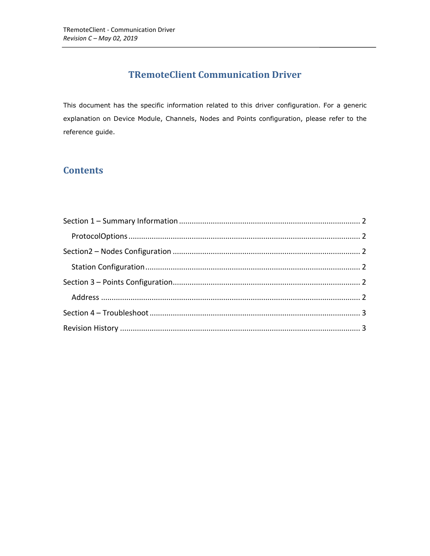# **TRemoteClient Communication Driver**

This document has the specific information related to this driver configuration. For a generic explanation on Device Module, Channels, Nodes and Points configuration, please refer to the reference guide.

## **Contents**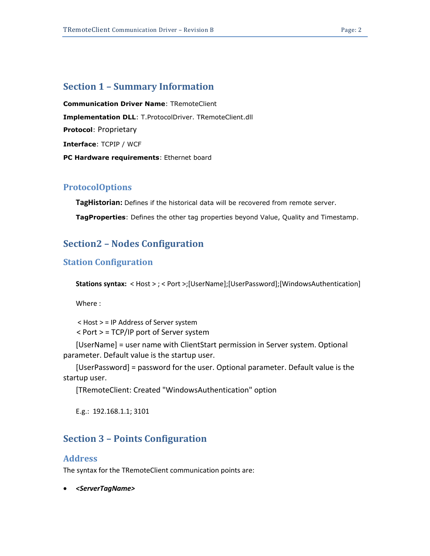### <span id="page-1-0"></span>**Section 1 – Summary Information**

**Communication Driver Name**: TRemoteClient **Implementation DLL**: T.ProtocolDriver. TRemoteClient.dll **Protocol**: Proprietary **Interface**: TCPIP / WCF **PC Hardware requirements**: Ethernet board

#### <span id="page-1-1"></span>**ProtocolOptions**

**TagHistorian:** Defines if the historical data will be recovered from remote server.

<span id="page-1-2"></span>**TagProperties**: Defines the other tag properties beyond Value, Quality and Timestamp.

### **Section2 – Nodes Configuration**

#### <span id="page-1-3"></span>**Station Configuration**

**Stations syntax:** < Host > ; < Port >;[UserName];[UserPassword];[WindowsAuthentication]

Where :

< Host > = IP Address of Server system < Port > = TCP/IP port of Server system

[UserName] = user name with ClientStart permission in Server system. Optional parameter. Default value is the startup user.

[UserPassword] = password for the user. Optional parameter. Default value is the startup user.

[TRemoteClient: Created "WindowsAuthentication" option

<span id="page-1-4"></span>E.g.: 192.168.1.1; 3101

### **Section 3 – Points Configuration**

#### <span id="page-1-5"></span>**Address**

The syntax for the TRemoteClient communication points are:

*<ServerTagName>*